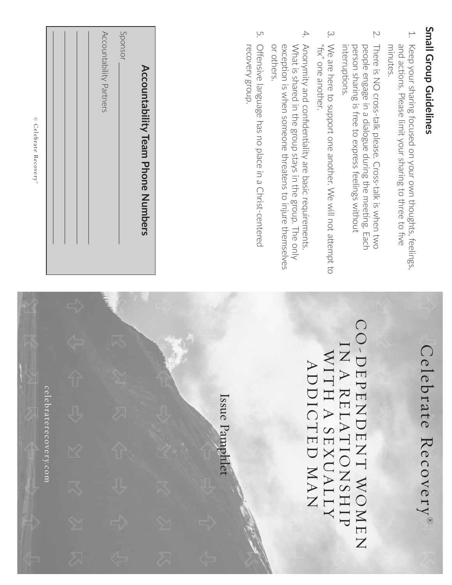## Small Group Guidelines **Small Group Guidelines**

- <del>ب</del> Keep your sharing focused on your own thoughts, feelings, and actions. Please limit your sharing to three to five minutes. and actions. Please limit your sharing to three to five Keep your sharing focused on your own thoughts, feelings,
- 2. There is NO cross-talk please. Cross-talk is when two people engage in a dialogue during the meeting. Each interruptions. person sharing is free to express feelings without There is NO cross-talk please. Cross-talk is when two interruptions. person sharing is free to express feelings without people engage in a dialogue during the meeting. Each
- 3. "fix" one another. We are here to support one another. We will not attempt to We are here to support one another. We will not attempt to "fix" one another.
- 4. Anonymity and confidentiality are basic requirements or others. exception is when someone threatens to injure themselves What is shared in the group stays in the group. The only or others. exception is when someone threatens to injure themselves What is shared in the group stays in the group. The only Anonymity and confidentiality are basic requirements.
- 5. Offensive language has no place in a Christ-centered recovery group. recovery group. Offensive language has no place in a Christ-centered

## Accountability Partners Accountability Partners Sponsor **Accountability Team Phone Numbers Accountability Team Phone Numbers**

© Celebrate Recovery © Celebrate Recovery'

> celebraterecover $\mathsf{c}\, \mathsf{e} \, \mathsf{le} \, \mathsf{brare} \, \mathsf{re}\, \mathsf{co}\, \mathsf{v}\, \mathsf{e}\, \mathsf{r}\, \mathsf{y}\, \mathsf{co}\, \mathsf{m}$

## Celebrate Recovery Celebrate Recovery®

## CO-DEPENDENT WOMENT CO-DEPENDENT WOMEN IN A RELATIONSHIP N A RELATIONSHIP WITH A SEXUALLY MITH A SEXUALLY<br>VITH A SEXUALLY ADDICTED MAN

Issue Pamphlet Issue Pamphlet